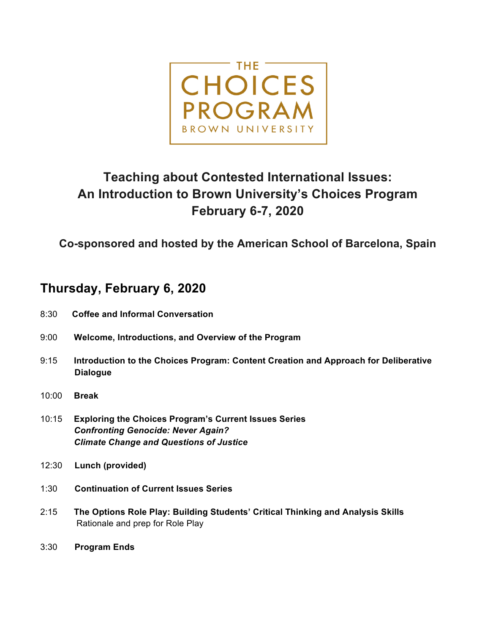

## **Teaching about Contested International Issues: An Introduction to Brown University's Choices Program February 6-7, 2020**

**Co-sponsored and hosted by the American School of Barcelona, Spain**

## **Thursday, February 6, 2020**

- 8:30 **Coffee and Informal Conversation**
- 9:00 **Welcome, Introductions, and Overview of the Program**
- 9:15 **Introduction to the Choices Program: Content Creation and Approach for Deliberative Dialogue**
- 10:00 **Break**
- 10:15 **Exploring the Choices Program's Current Issues Series**  *Confronting Genocide: Never Again? Climate Change and Questions of Justice*
- 12:30 **Lunch (provided)**
- 1:30 **Continuation of Current Issues Series**
- 2:15 **The Options Role Play: Building Students' Critical Thinking and Analysis Skills** Rationale and prep for Role Play
- 3:30 **Program Ends**